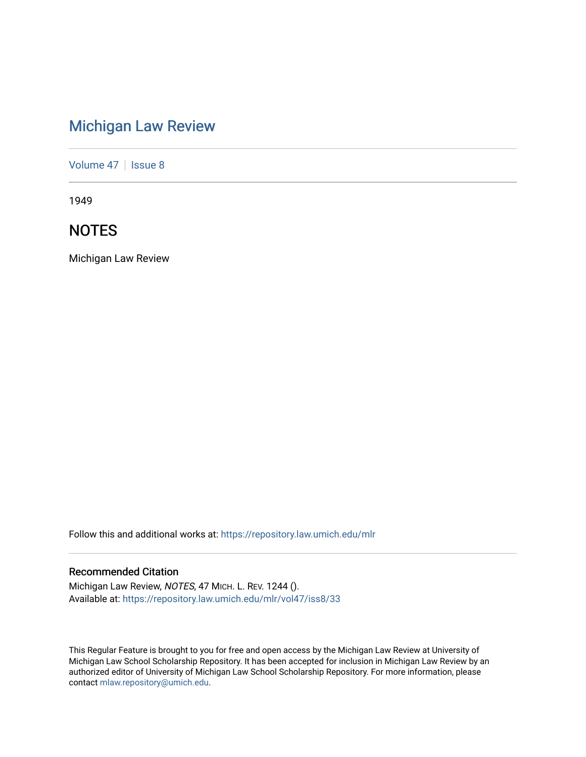# [Michigan Law Review](https://repository.law.umich.edu/mlr)

[Volume 47](https://repository.law.umich.edu/mlr/vol47) | [Issue 8](https://repository.law.umich.edu/mlr/vol47/iss8)

1949

# **NOTES**

Michigan Law Review

Follow this and additional works at: [https://repository.law.umich.edu/mlr](https://repository.law.umich.edu/mlr?utm_source=repository.law.umich.edu%2Fmlr%2Fvol47%2Fiss8%2F33&utm_medium=PDF&utm_campaign=PDFCoverPages) 

# Recommended Citation

Michigan Law Review, NOTES, 47 MICH. L. REV. 1244 (). Available at: [https://repository.law.umich.edu/mlr/vol47/iss8/33](https://repository.law.umich.edu/mlr/vol47/iss8/33?utm_source=repository.law.umich.edu%2Fmlr%2Fvol47%2Fiss8%2F33&utm_medium=PDF&utm_campaign=PDFCoverPages) 

This Regular Feature is brought to you for free and open access by the Michigan Law Review at University of Michigan Law School Scholarship Repository. It has been accepted for inclusion in Michigan Law Review by an authorized editor of University of Michigan Law School Scholarship Repository. For more information, please contact [mlaw.repository@umich.edu](mailto:mlaw.repository@umich.edu).